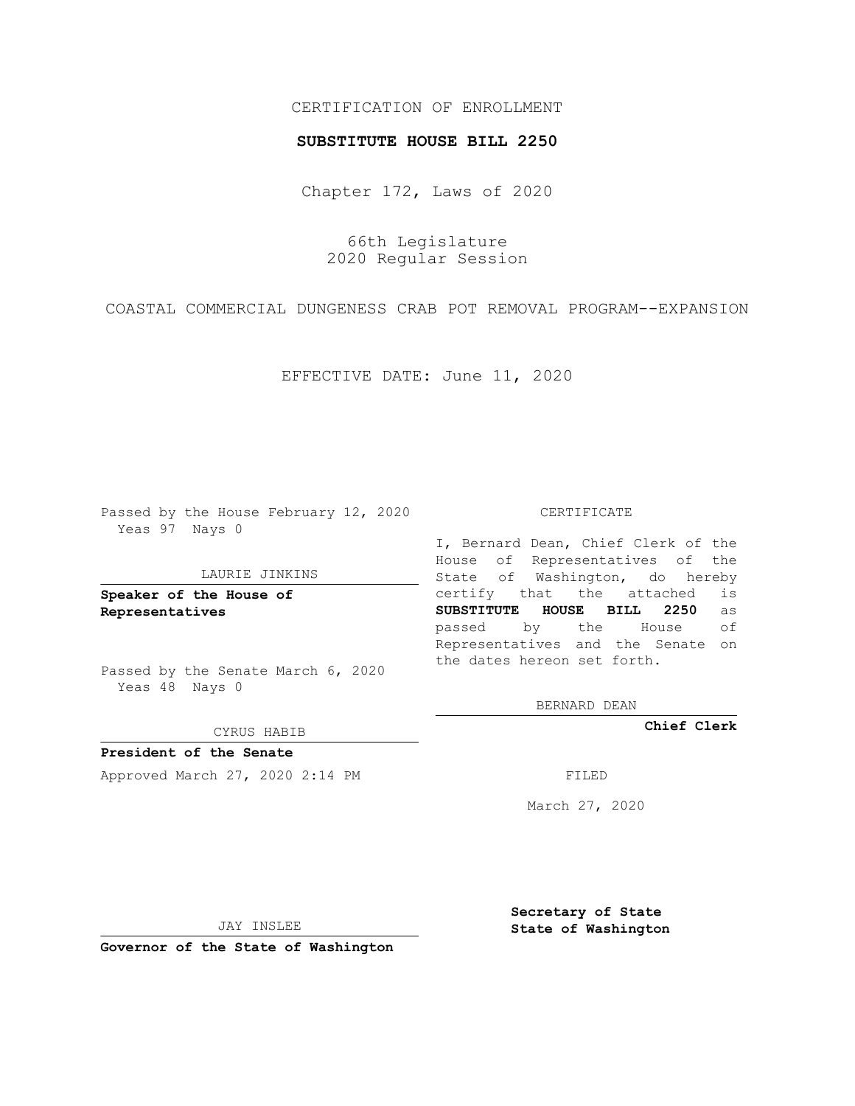## CERTIFICATION OF ENROLLMENT

## **SUBSTITUTE HOUSE BILL 2250**

Chapter 172, Laws of 2020

66th Legislature 2020 Regular Session

COASTAL COMMERCIAL DUNGENESS CRAB POT REMOVAL PROGRAM--EXPANSION

EFFECTIVE DATE: June 11, 2020

Passed by the House February 12, 2020 Yeas 97 Nays 0

## LAURIE JINKINS

**Speaker of the House of Representatives**

Passed by the Senate March 6, 2020 Yeas 48 Nays 0

CYRUS HABIB

**President of the Senate** Approved March 27, 2020 2:14 PM

CERTIFICATE

I, Bernard Dean, Chief Clerk of the House of Representatives of the State of Washington, do hereby certify that the attached is **SUBSTITUTE HOUSE BILL 2250** as passed by the House of Representatives and the Senate on the dates hereon set forth.

BERNARD DEAN

**Chief Clerk**

March 27, 2020

JAY INSLEE

**Governor of the State of Washington**

**Secretary of State State of Washington**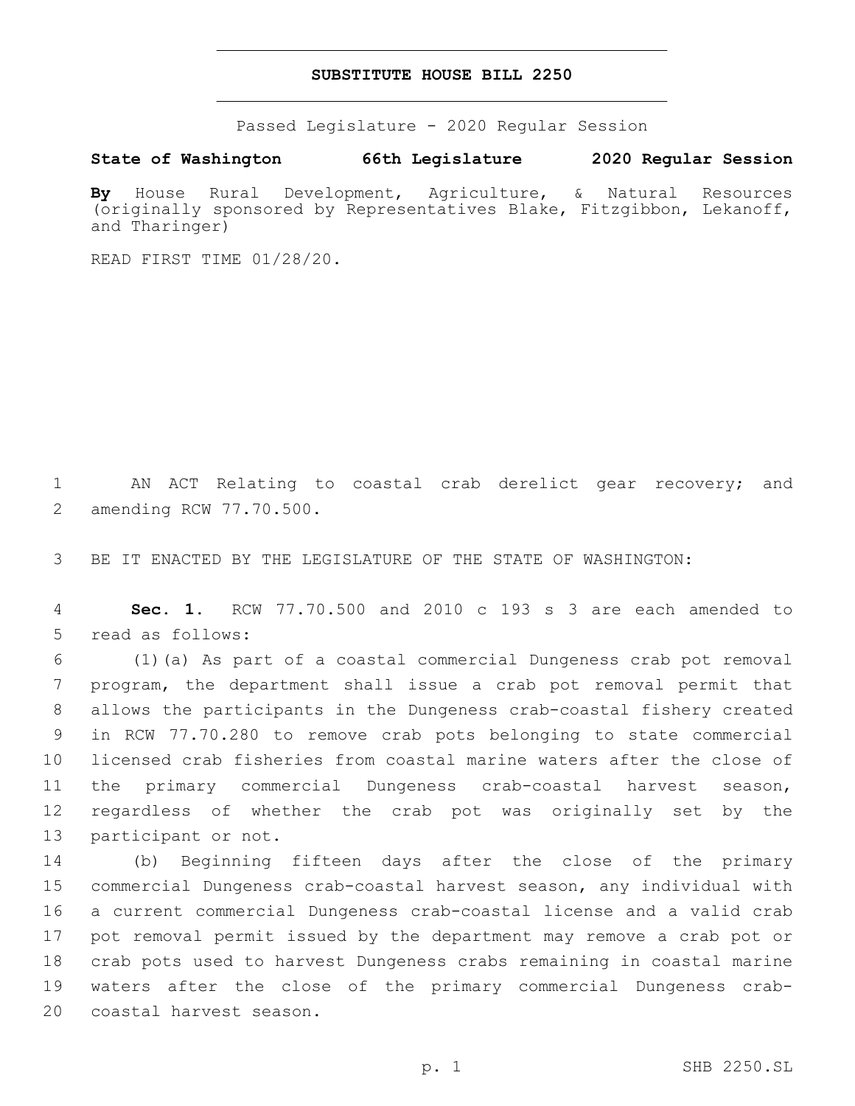## **SUBSTITUTE HOUSE BILL 2250**

Passed Legislature - 2020 Regular Session

**State of Washington 66th Legislature 2020 Regular Session**

**By** House Rural Development, Agriculture, & Natural Resources (originally sponsored by Representatives Blake, Fitzgibbon, Lekanoff, and Tharinger)

READ FIRST TIME 01/28/20.

1 AN ACT Relating to coastal crab derelict gear recovery; and 2 amending RCW 77.70.500.

3 BE IT ENACTED BY THE LEGISLATURE OF THE STATE OF WASHINGTON:

4 **Sec. 1.** RCW 77.70.500 and 2010 c 193 s 3 are each amended to 5 read as follows:

 (1)(a) As part of a coastal commercial Dungeness crab pot removal program, the department shall issue a crab pot removal permit that allows the participants in the Dungeness crab-coastal fishery created in RCW 77.70.280 to remove crab pots belonging to state commercial licensed crab fisheries from coastal marine waters after the close of the primary commercial Dungeness crab-coastal harvest season, regardless of whether the crab pot was originally set by the 13 participant or not.

 (b) Beginning fifteen days after the close of the primary commercial Dungeness crab-coastal harvest season, any individual with a current commercial Dungeness crab-coastal license and a valid crab pot removal permit issued by the department may remove a crab pot or crab pots used to harvest Dungeness crabs remaining in coastal marine waters after the close of the primary commercial Dungeness crab-20 coastal harvest season.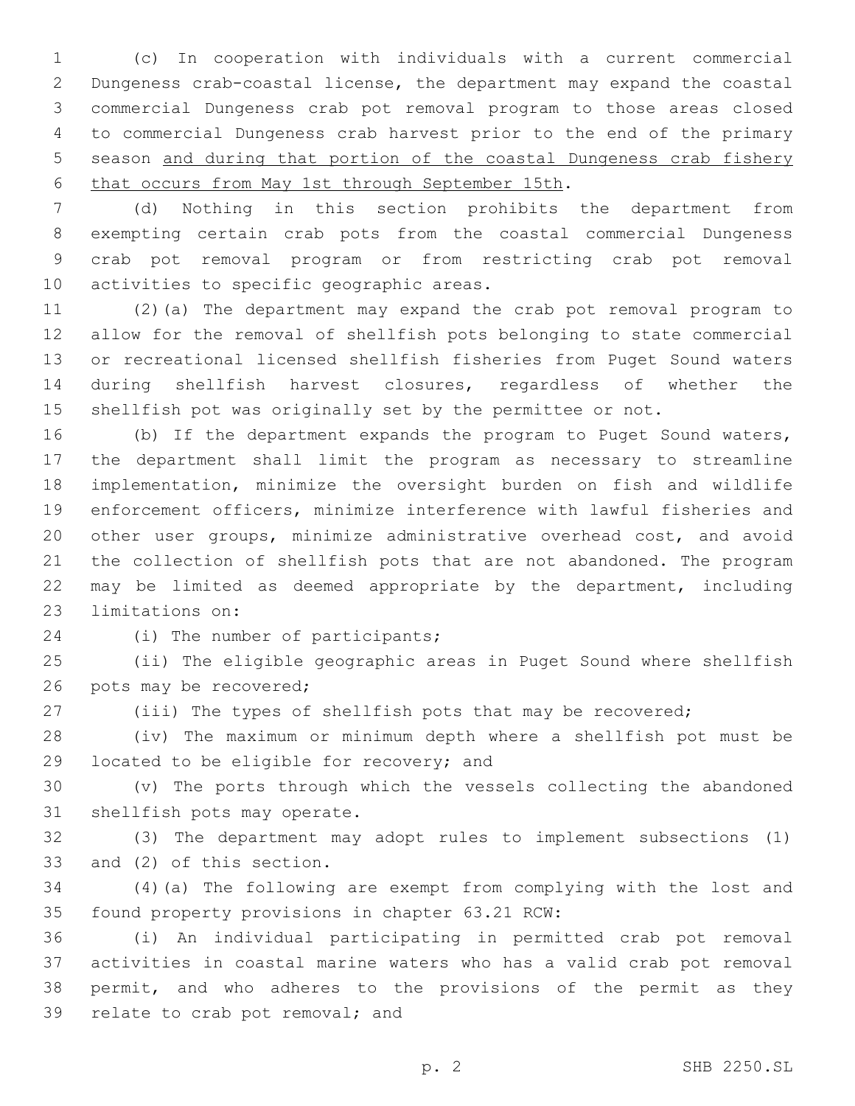(c) In cooperation with individuals with a current commercial Dungeness crab-coastal license, the department may expand the coastal commercial Dungeness crab pot removal program to those areas closed to commercial Dungeness crab harvest prior to the end of the primary season and during that portion of the coastal Dungeness crab fishery 6 that occurs from May 1st through September 15th.

 (d) Nothing in this section prohibits the department from exempting certain crab pots from the coastal commercial Dungeness crab pot removal program or from restricting crab pot removal 10 activities to specific geographic areas.

 (2)(a) The department may expand the crab pot removal program to allow for the removal of shellfish pots belonging to state commercial or recreational licensed shellfish fisheries from Puget Sound waters during shellfish harvest closures, regardless of whether the 15 shellfish pot was originally set by the permittee or not.

 (b) If the department expands the program to Puget Sound waters, the department shall limit the program as necessary to streamline implementation, minimize the oversight burden on fish and wildlife enforcement officers, minimize interference with lawful fisheries and other user groups, minimize administrative overhead cost, and avoid the collection of shellfish pots that are not abandoned. The program may be limited as deemed appropriate by the department, including 23 limitations on:

24 (i) The number of participants;

 (ii) The eligible geographic areas in Puget Sound where shellfish 26 pots may be recovered;

(iii) The types of shellfish pots that may be recovered;

 (iv) The maximum or minimum depth where a shellfish pot must be 29 located to be eligible for recovery; and

 (v) The ports through which the vessels collecting the abandoned 31 shellfish pots may operate.

 (3) The department may adopt rules to implement subsections (1) 33 and (2) of this section.

 (4)(a) The following are exempt from complying with the lost and 35 found property provisions in chapter 63.21 RCW:

 (i) An individual participating in permitted crab pot removal activities in coastal marine waters who has a valid crab pot removal permit, and who adheres to the provisions of the permit as they 39 relate to crab pot removal; and